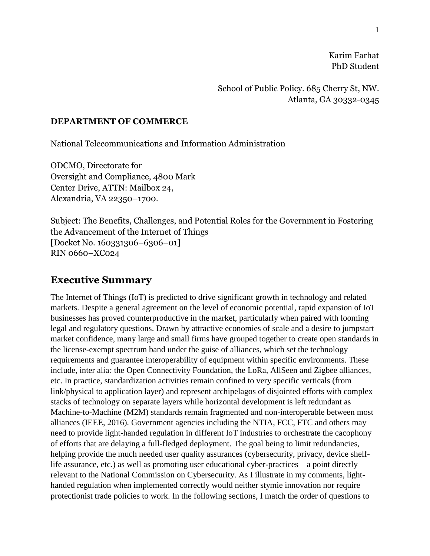Karim Farhat PhD Student

School of Public Policy. 685 Cherry St, NW. Atlanta, GA 30332-0345

### **DEPARTMENT OF COMMERCE**

National Telecommunications and Information Administration

ODCMO, Directorate for Oversight and Compliance, 4800 Mark Center Drive, ATTN: Mailbox 24, Alexandria, VA 22350–1700.

Subject: The Benefits, Challenges, and Potential Roles for the Government in Fostering the Advancement of the Internet of Things [Docket No. 160331306–6306–01] RIN 0660–XC024

# **Executive Summary**

The Internet of Things (IoT) is predicted to drive significant growth in technology and related markets. Despite a general agreement on the level of economic potential, rapid expansion of IoT businesses has proved counterproductive in the market, particularly when paired with looming legal and regulatory questions. Drawn by attractive economies of scale and a desire to jumpstart market confidence, many large and small firms have grouped together to create open standards in the license-exempt spectrum band under the guise of alliances, which set the technology requirements and guarantee interoperability of equipment within specific environments. These include, inter alia*:* the Open Connectivity Foundation, the LoRa, AllSeen and Zigbee alliances, etc. In practice, standardization activities remain confined to very specific verticals (from link/physical to application layer) and represent archipelagos of disjointed efforts with complex stacks of technology on separate layers while horizontal development is left redundant as Machine-to-Machine (M2M) standards remain fragmented and non-interoperable between most alliances (IEEE, 2016). Government agencies including the NTIA, FCC, FTC and others may need to provide light-handed regulation in different IoT industries to orchestrate the cacophony of efforts that are delaying a full-fledged deployment. The goal being to limit redundancies, helping provide the much needed user quality assurances (cybersecurity, privacy, device shelflife assurance, etc.) as well as promoting user educational cyber-practices – a point directly relevant to the National Commission on Cybersecurity. As I illustrate in my comments, lighthanded regulation when implemented correctly would neither stymie innovation nor require protectionist trade policies to work. In the following sections, I match the order of questions to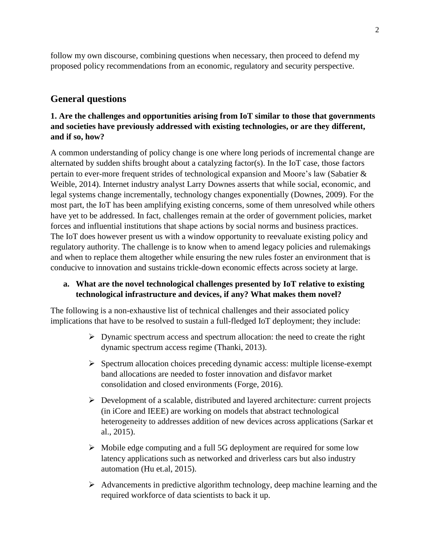follow my own discourse, combining questions when necessary, then proceed to defend my proposed policy recommendations from an economic, regulatory and security perspective.

# **General questions**

## **1. Are the challenges and opportunities arising from IoT similar to those that governments and societies have previously addressed with existing technologies, or are they different, and if so, how?**

A common understanding of policy change is one where long periods of incremental change are alternated by sudden shifts brought about a catalyzing factor(s). In the IoT case, those factors pertain to ever-more frequent strides of technological expansion and Moore's law (Sabatier & Weible, 2014). Internet industry analyst Larry Downes asserts that while social, economic, and legal systems change incrementally, technology changes exponentially (Downes, 2009). For the most part, the IoT has been amplifying existing concerns, some of them unresolved while others have yet to be addressed. In fact, challenges remain at the order of government policies, market forces and influential institutions that shape actions by social norms and business practices. The IoT does however present us with a window opportunity to reevaluate existing policy and regulatory authority. The challenge is to know when to amend legacy policies and rulemakings and when to replace them altogether while ensuring the new rules foster an environment that is conducive to innovation and sustains trickle-down economic effects across society at large.

## **a. What are the novel technological challenges presented by IoT relative to existing technological infrastructure and devices, if any? What makes them novel?**

The following is a non-exhaustive list of technical challenges and their associated policy implications that have to be resolved to sustain a full-fledged IoT deployment; they include:

- $\triangleright$  Dynamic spectrum access and spectrum allocation: the need to create the right dynamic spectrum access regime (Thanki, 2013).
- $\triangleright$  Spectrum allocation choices preceding dynamic access: multiple license-exempt band allocations are needed to foster innovation and disfavor market consolidation and closed environments (Forge, 2016).
- $\triangleright$  Development of a scalable, distributed and layered architecture: current projects (in iCore and IEEE) are working on models that abstract technological heterogeneity to addresses addition of new devices across applications (Sarkar et al., 2015).
- $\triangleright$  Mobile edge computing and a full 5G deployment are required for some low latency applications such as networked and driverless cars but also industry automation (Hu et.al, 2015).
- $\triangleright$  Advancements in predictive algorithm technology, deep machine learning and the required workforce of data scientists to back it up.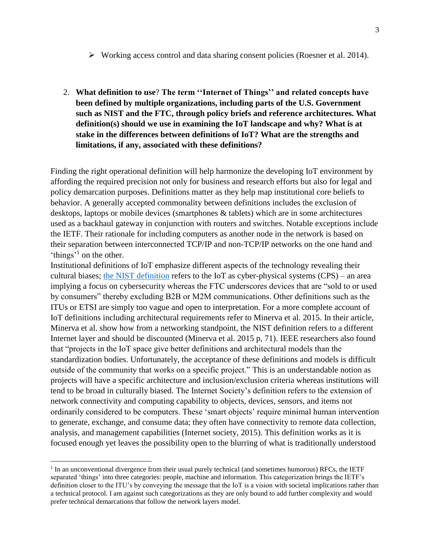- $\triangleright$  Working access control and data sharing consent policies (Roesner et al. 2014).
- 2. **What definition to use**? **The term ''Internet of Things'' and related concepts have been defined by multiple organizations, including parts of the U.S. Government such as NIST and the FTC, through policy briefs and reference architectures. What definition(s) should we use in examining the IoT landscape and why? What is at stake in the differences between definitions of IoT? What are the strengths and limitations, if any, associated with these definitions?**

Finding the right operational definition will help harmonize the developing IoT environment by affording the required precision not only for business and research efforts but also for legal and policy demarcation purposes. Definitions matter as they help map institutional core beliefs to behavior. A generally accepted commonality between definitions includes the exclusion of desktops, laptops or mobile devices (smartphones & tablets) which are in some architectures used as a backhaul gateway in conjunction with routers and switches. Notable exceptions include the IETF. Their rationale for including computers as another node in the network is based on their separation between interconnected TCP/IP and non-TCP/IP networks on the one hand and 'things'<sup>1</sup> on the other.

Institutional definitions of IoT emphasize different aspects of the technology revealing their cultural biases; the [NIST definition](http://www.hldataprotection.com/2014/08/articles/cybersecurity-data-breaches/nist-launches-into-the-internet-of-things/) refers to the IoT as cyber-physical systems (CPS) – an area implying a focus on cybersecurity whereas the FTC underscores devices that are "sold to or used by consumers" thereby excluding B2B or M2M communications. Other definitions such as the ITUs or ETSI are simply too vague and open to interpretation. For a more complete account of IoT definitions including architectural requirements refer to Minerva et al. 2015. In their article, Minerva et al. show how from a networking standpoint, the NIST definition refers to a different Internet layer and should be discounted (Minerva et al. 2015 p, 71). IEEE researchers also found that "projects in the IoT space give better definitions and architectural models than the standardization bodies. Unfortunately, the acceptance of these definitions and models is difficult outside of the community that works on a specific project." This is an understandable notion as projects will have a specific architecture and inclusion/exclusion criteria whereas institutions will tend to be broad in culturally biased. The Internet Society's definition refers to the extension of network connectivity and computing capability to objects, devices, sensors, and items not ordinarily considered to be computers. These 'smart objects' require minimal human intervention to generate, exchange, and consume data; they often have connectivity to remote data collection, analysis, and management capabilities (Internet society, 2015). This definition works as it is focused enough yet leaves the possibility open to the blurring of what is traditionally understood

 $\overline{a}$ 

<sup>&</sup>lt;sup>1</sup> In an unconventional divergence from their usual purely technical (and sometimes humorous) RFCs, the IETF separated 'things' into three categories: people, machine and information. This categorization brings the IETF's definition closer to the ITU's by conveying the message that the IoT is a vision with societal implications rather than a technical protocol. I am against such categorizations as they are only bound to add further complexity and would prefer technical demarcations that follow the network layers model.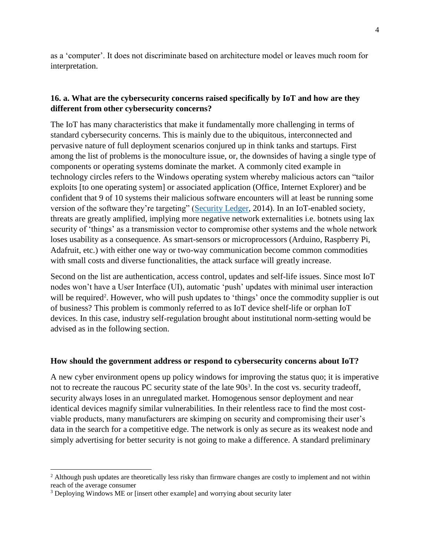as a 'computer'. It does not discriminate based on architecture model or leaves much room for interpretation.

## **16. a. What are the cybersecurity concerns raised specifically by IoT and how are they different from other cybersecurity concerns?**

The IoT has many characteristics that make it fundamentally more challenging in terms of standard cybersecurity concerns. This is mainly due to the ubiquitous, interconnected and pervasive nature of full deployment scenarios conjured up in think tanks and startups. First among the list of problems is the monoculture issue, or, the downsides of having a single type of components or operating systems dominate the market. A commonly cited example in technology circles refers to the Windows operating system whereby malicious actors can "tailor exploits [to one operating system] or associated application (Office, Internet Explorer) and be confident that 9 of 10 systems their malicious software encounters will at least be running some version of the software they're targeting" [\(Security Ledger,](https://securityledger.com/2014/04/heartbleed-technology-monocultures-second-act/) 2014). In an IoT-enabled society, threats are greatly amplified, implying more negative network externalities i.e. botnets using lax security of 'things' as a transmission vector to compromise other systems and the whole network loses usability as a consequence. As smart-sensors or microprocessors (Arduino, Raspberry Pi, Adafruit, etc.) with either one way or two-way communication become common commodities with small costs and diverse functionalities, the attack surface will greatly increase.

Second on the list are authentication, access control, updates and self-life issues. Since most IoT nodes won't have a User Interface (UI), automatic 'push' updates with minimal user interaction will be required<sup>2</sup>. However, who will push updates to 'things' once the commodity supplier is out of business? This problem is commonly referred to as IoT device shelf-life or orphan IoT devices. In this case, industry self-regulation brought about institutional norm-setting would be advised as in the following section.

### **How should the government address or respond to cybersecurity concerns about IoT?**

A new cyber environment opens up policy windows for improving the status quo; it is imperative not to recreate the raucous PC security state of the late 90s<sup>3</sup>. In the cost vs. security tradeoff, security always loses in an unregulated market. Homogenous sensor deployment and near identical devices magnify similar vulnerabilities. In their relentless race to find the most costviable products, many manufacturers are skimping on security and compromising their user's data in the search for a competitive edge. The network is only as secure as its weakest node and simply advertising for better security is not going to make a difference. A standard preliminary

 $\overline{a}$ 

<sup>&</sup>lt;sup>2</sup> Although push updates are theoretically less risky than firmware changes are costly to implement and not within reach of the average consumer

<sup>3</sup> Deploying Windows ME or [insert other example] and worrying about security later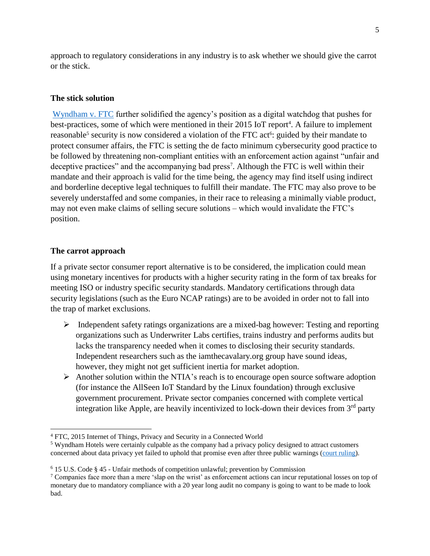approach to regulatory considerations in any industry is to ask whether we should give the carrot or the stick.

### **The stick solution**

[Wyndham v. FTC](http://www2.ca3.uscourts.gov/opinarch/143514p.pdf) further solidified the agency's position as a digital watchdog that pushes for best-practices, some of which were mentioned in their 2015 IoT report<sup>4</sup>. A failure to implement reasonable<sup>5</sup> security is now considered a violation of the FTC act<sup>6</sup>: guided by their mandate to protect consumer affairs, the FTC is setting the de facto minimum cybersecurity good practice to be followed by threatening non-compliant entities with an enforcement action against "unfair and deceptive practices" and the accompanying bad press<sup>7</sup>. Although the FTC is well within their mandate and their approach is valid for the time being, the agency may find itself using indirect and borderline deceptive legal techniques to fulfill their mandate. The FTC may also prove to be severely understaffed and some companies, in their race to releasing a minimally viable product, may not even make claims of selling secure solutions – which would invalidate the FTC's position.

#### **The carrot approach**

l

If a private sector consumer report alternative is to be considered, the implication could mean using monetary incentives for products with a higher security rating in the form of tax breaks for meeting ISO or industry specific security standards. Mandatory certifications through data security legislations (such as the Euro NCAP ratings) are to be avoided in order not to fall into the trap of market exclusions.

- $\triangleright$  Independent safety ratings organizations are a mixed-bag however: Testing and reporting organizations such as Underwriter Labs certifies, trains industry and performs audits but lacks the transparency needed when it comes to disclosing their security standards. Independent researchers such as the iamthecavalary.org group have sound ideas, however, they might not get sufficient inertia for market adoption.
- $\triangleright$  Another solution within the NTIA's reach is to encourage open source software adoption (for instance the AllSeen IoT Standard by the Linux foundation) through exclusive government procurement. Private sector companies concerned with complete vertical integration like Apple, are heavily incentivized to lock-down their devices from  $3<sup>rd</sup>$  party

<sup>4</sup> FTC, 2015 Internet of Things, Privacy and Security in a Connected World

<sup>5</sup> Wyndham Hotels were certainly culpable as the company had a privacy policy designed to attract customers concerned about data privacy yet failed to uphold that promise even after three public warnings [\(court ruling\)](http://www2.ca3.uscourts.gov/opinarch/143514p.pdf).

 $6$  15 U.S. Code § 45 - Unfair methods of competition unlawful; prevention by Commission

 $7$  Companies face more than a mere 'slap on the wrist' as enforcement actions can incur reputational losses on top of monetary due to mandatory compliance with a 20 year long audit no company is going to want to be made to look bad.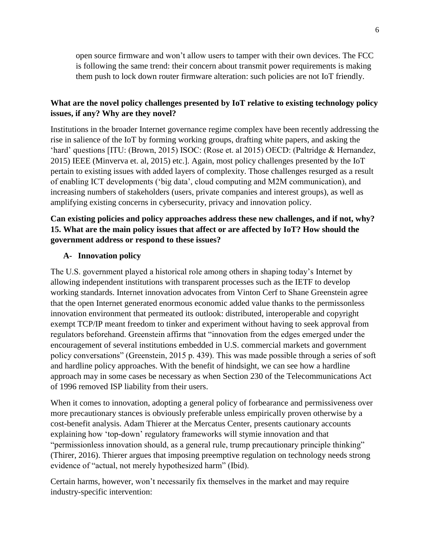open source firmware and won't allow users to tamper with their own devices. The FCC is following the same trend: their concern about transmit power requirements is making them push to lock down router firmware alteration: such policies are not IoT friendly.

# **What are the novel policy challenges presented by IoT relative to existing technology policy issues, if any? Why are they novel?**

Institutions in the broader Internet governance regime complex have been recently addressing the rise in salience of the IoT by forming working groups, drafting white papers, and asking the 'hard' questions [ITU: (Brown, 2015) ISOC: (Rose et. al 2015) OECD: (Paltridge & Hernandez, 2015) IEEE (Minverva et. al, 2015) etc.]. Again, most policy challenges presented by the IoT pertain to existing issues with added layers of complexity. Those challenges resurged as a result of enabling ICT developments ('big data', cloud computing and M2M communication), and increasing numbers of stakeholders (users, private companies and interest groups), as well as amplifying existing concerns in cybersecurity, privacy and innovation policy.

## **Can existing policies and policy approaches address these new challenges, and if not, why? 15. What are the main policy issues that affect or are affected by IoT? How should the government address or respond to these issues?**

## **A- Innovation policy**

The U.S. government played a historical role among others in shaping today's Internet by allowing independent institutions with transparent processes such as the IETF to develop working standards. Internet innovation advocates from Vinton Cerf to Shane Greenstein agree that the open Internet generated enormous economic added value thanks to the permissonless innovation environment that permeated its outlook: distributed, interoperable and copyright exempt TCP/IP meant freedom to tinker and experiment without having to seek approval from regulators beforehand. Greenstein affirms that "innovation from the edges emerged under the encouragement of several institutions embedded in U.S. commercial markets and government policy conversations" (Greenstein, 2015 p. 439). This was made possible through a series of soft and hardline policy approaches. With the benefit of hindsight, we can see how a hardline approach may in some cases be necessary as when Section 230 of the Telecommunications Act of 1996 removed ISP liability from their users.

When it comes to innovation, adopting a general policy of forbearance and permissiveness over more precautionary stances is obviously preferable unless empirically proven otherwise by a cost-benefit analysis. Adam Thierer at the Mercatus Center, presents cautionary accounts explaining how 'top-down' regulatory frameworks will stymie innovation and that "permissionless innovation should, as a general rule, trump precautionary principle thinking" (Thirer, 2016). Thierer argues that imposing preemptive regulation on technology needs strong evidence of "actual, not merely hypothesized harm" (Ibid).

Certain harms, however, won't necessarily fix themselves in the market and may require industry-specific intervention: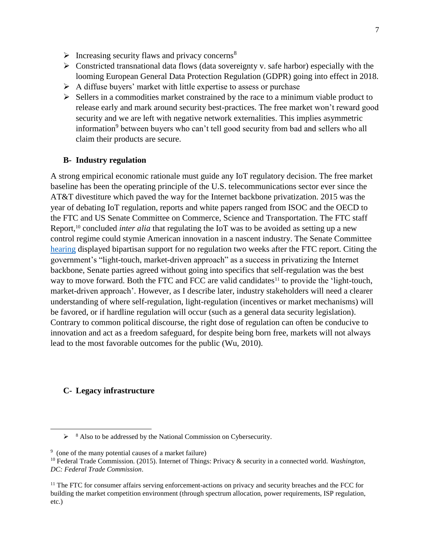- $\triangleright$  Increasing security flaws and privacy concerns<sup>8</sup>
- $\triangleright$  Constricted transnational data flows (data sovereignty v. safe harbor) especially with the looming European General Data Protection Regulation (GDPR) going into effect in 2018.
- $\triangleright$  A diffuse buyers' market with little expertise to assess or purchase
- $\triangleright$  Sellers in a commodities market constrained by the race to a minimum viable product to release early and mark around security best-practices. The free market won't reward good security and we are left with negative network externalities. This implies asymmetric information<sup>9</sup> between buyers who can't tell good security from bad and sellers who all claim their products are secure.

### **B- Industry regulation**

A strong empirical economic rationale must guide any IoT regulatory decision. The free market baseline has been the operating principle of the U.S. telecommunications sector ever since the AT&T divestiture which paved the way for the Internet backbone privatization. 2015 was the year of debating IoT regulation, reports and white papers ranged from ISOC and the OECD to the FTC and US Senate Committee on Commerce, Science and Transportation. The FTC staff Report,<sup>10</sup> concluded *inter alia* that regulating the IoT was to be avoided as setting up a new control regime could stymie American innovation in a nascent industry. The Senate Committee [hearing](http://www.commerce.senate.gov/public/index.cfm/hearings?ContentRecord_id=d3e33bde-30fd-4899-b30d-906b47e117ca&ContentType_id=14f995b9-dfa5-407a-9d35-56cc7152a7ed&Group_id=b06c39af-e033-4cba-9221-de668ca1978a&MonthDisplay=2&YearDisplay=2015) displayed bipartisan support for no regulation two weeks after the FTC report. Citing the government's "light-touch, market-driven approach" as a success in privatizing the Internet backbone, Senate parties agreed without going into specifics that self-regulation was the best way to move forward. Both the FTC and FCC are valid candidates<sup>11</sup> to provide the 'light-touch, market-driven approach'. However, as I describe later, industry stakeholders will need a clearer understanding of where self-regulation, light-regulation (incentives or market mechanisms) will be favored, or if hardline regulation will occur (such as a general data security legislation). Contrary to common political discourse, the right dose of regulation can often be conducive to innovation and act as a freedom safeguard, for despite being born free, markets will not always lead to the most favorable outcomes for the public (Wu, 2010).

#### **C- Legacy infrastructure**

l

 $\triangleright$  <sup>8</sup> Also to be addressed by the National Commission on Cybersecurity.

<sup>&</sup>lt;sup>9</sup> (one of the many potential causes of a market failure)

<sup>10</sup> Federal Trade Commission. (2015). Internet of Things: Privacy & security in a connected world. *Washington, DC: Federal Trade Commission*.

<sup>&</sup>lt;sup>11</sup> The FTC for consumer affairs serving enforcement-actions on privacy and security breaches and the FCC for building the market competition environment (through spectrum allocation, power requirements, ISP regulation, etc.)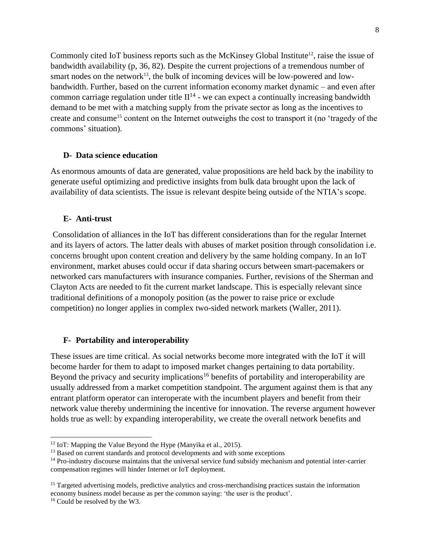Commonly cited IoT business reports such as the McKinsey Global Institute<sup>12</sup>, raise the issue of bandwidth availability (p, 36, 82). Despite the current projections of a tremendous number of smart nodes on the network<sup>13</sup>, the bulk of incoming devices will be low-powered and lowbandwidth. Further, based on the current information economy market dynamic – and even after common carriage regulation under title  $II^{14}$  - we can expect a continually increasing bandwidth demand to be met with a matching supply from the private sector as long as the incentives to create and consume<sup>15</sup> content on the Internet outweighs the cost to transport it (no 'tragedy of the commons' situation).

#### **D- Data science education**

As enormous amounts of data are generated, value propositions are held back by the inability to generate useful optimizing and predictive insights from bulk data brought upon the lack of availability of data scientists. The issue is relevant despite being outside of the NTIA's scope.

#### **E- Anti-trust**

Consolidation of alliances in the IoT has different considerations than for the regular Internet and its layers of actors. The latter deals with abuses of market position through consolidation i.e. concerns brought upon content creation and delivery by the same holding company. In an IoT environment, market abuses could occur if data sharing occurs between smart-pacemakers or networked cars manufacturers with insurance companies. Further, revisions of the Sherman and Clayton Acts are needed to fit the current market landscape. This is especially relevant since traditional definitions of a monopoly position (as the power to raise price or exclude competition) no longer applies in complex two-sided network markets (Waller, 2011).

#### **F- Portability and interoperability**

These issues are time critical. As social networks become more integrated with the IoT it will become harder for them to adapt to imposed market changes pertaining to data portability. Beyond the privacy and security implications<sup>16</sup> benefits of portability and interoperability are usually addressed from a market competition standpoint. The argument against them is that any entrant platform operator can interoperate with the incumbent players and benefit from their network value thereby undermining the incentive for innovation. The reverse argument however holds true as well: by expanding interoperability, we create the overall network benefits and

l

<sup>&</sup>lt;sup>12</sup> IoT: Mapping the Value Beyond the Hype (Manyika et al., 2015).

<sup>&</sup>lt;sup>13</sup> Based on current standards and protocol developments and with some exceptions

<sup>&</sup>lt;sup>14</sup> Pro-industry discourse maintains that the universal service fund subsidy mechanism and potential inter-carrier compensation regimes will hinder Internet or IoT deployment.

<sup>&</sup>lt;sup>15</sup> Targeted advertising models, predictive analytics and cross-merchandising practices sustain the information economy business model because as per the common saying: 'the user is the product'.

<sup>16</sup> Could be resolved by the W3.